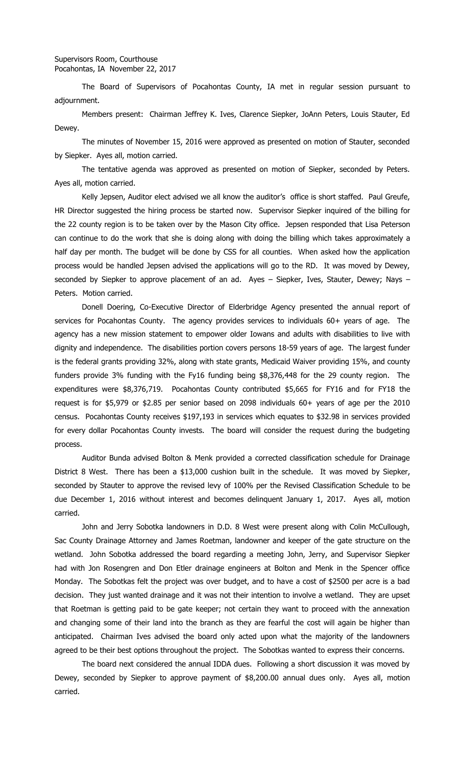The Board of Supervisors of Pocahontas County, IA met in regular session pursuant to adjournment.

Members present: Chairman Jeffrey K. Ives, Clarence Siepker, JoAnn Peters, Louis Stauter, Ed Dewey.

The minutes of November 15, 2016 were approved as presented on motion of Stauter, seconded by Siepker. Ayes all, motion carried.

The tentative agenda was approved as presented on motion of Siepker, seconded by Peters. Ayes all, motion carried.

Kelly Jepsen, Auditor elect advised we all know the auditor's office is short staffed. Paul Greufe, HR Director suggested the hiring process be started now. Supervisor Siepker inquired of the billing for the 22 county region is to be taken over by the Mason City office. Jepsen responded that Lisa Peterson can continue to do the work that she is doing along with doing the billing which takes approximately a half day per month. The budget will be done by CSS for all counties. When asked how the application process would be handled Jepsen advised the applications will go to the RD. It was moved by Dewey, seconded by Siepker to approve placement of an ad. Ayes - Siepker, Ives, Stauter, Dewey; Nays -Peters. Motion carried.

Donell Doering, Co-Executive Director of Elderbridge Agency presented the annual report of services for Pocahontas County. The agency provides services to individuals 60+ years of age. The agency has a new mission statement to empower older Iowans and adults with disabilities to live with dignity and independence. The disabilities portion covers persons 18-59 years of age. The largest funder is the federal grants providing 32%, along with state grants, Medicaid Waiver providing 15%, and county funders provide 3% funding with the Fy16 funding being \$8,376,448 for the 29 county region. The expenditures were \$8,376,719. Pocahontas County contributed \$5,665 for FY16 and for FY18 the request is for \$5,979 or \$2.85 per senior based on 2098 individuals 60+ years of age per the 2010 census. Pocahontas County receives \$197,193 in services which equates to \$32.98 in services provided for every dollar Pocahontas County invests. The board will consider the request during the budgeting process.

Auditor Bunda advised Bolton & Menk provided a corrected classification schedule for Drainage District 8 West. There has been a \$13,000 cushion built in the schedule. It was moved by Siepker, seconded by Stauter to approve the revised levy of 100% per the Revised Classification Schedule to be due December 1, 2016 without interest and becomes delinquent January 1, 2017. Ayes all, motion carried.

John and Jerry Sobotka landowners in D.D. 8 West were present along with Colin McCullough, Sac County Drainage Attorney and James Roetman, landowner and keeper of the gate structure on the wetland. John Sobotka addressed the board regarding a meeting John, Jerry, and Supervisor Siepker had with Jon Rosengren and Don Etler drainage engineers at Bolton and Menk in the Spencer office Monday. The Sobotkas felt the project was over budget, and to have a cost of \$2500 per acre is a bad decision. They just wanted drainage and it was not their intention to involve a wetland. They are upset that Roetman is getting paid to be gate keeper; not certain they want to proceed with the annexation and changing some of their land into the branch as they are fearful the cost will again be higher than anticipated. Chairman Ives advised the board only acted upon what the majority of the landowners agreed to be their best options throughout the project. The Sobotkas wanted to express their concerns.

The board next considered the annual IDDA dues. Following a short discussion it was moved by Dewey, seconded by Siepker to approve payment of \$8,200.00 annual dues only. Ayes all, motion carried.